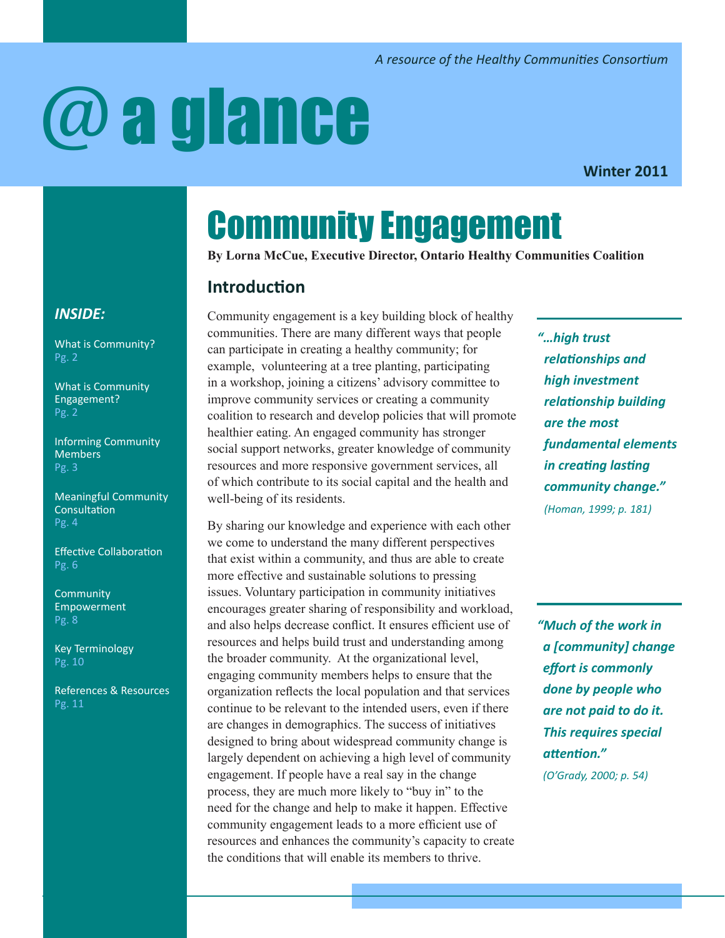# @a glance

**Winter 2011**

# Community Engagement

**By Lorna McCue, Executive Director, Ontario Healthy Communities Coalition**

# **Introduction**

Community engagement is a key building block of healthy communities. There are many different ways that people can participate in creating a healthy community; for example, volunteering at a tree planting, participating in a workshop, joining a citizens' advisory committee to improve community services or creating a community coalition to research and develop policies that will promote healthier eating. An engaged community has stronger social support networks, greater knowledge of community resources and more responsive government services, all of which contribute to its social capital and the health and well-being of its residents.

By sharing our knowledge and experience with each other we come to understand the many different perspectives that exist within a community, and thus are able to create more effective and sustainable solutions to pressing issues. Voluntary participation in community initiatives encourages greater sharing of responsibility and workload, and also helps decrease conflict. It ensures efficient use of resources and helps build trust and understanding among the broader community. At the organizational level, engaging community members helps to ensure that the organization reflects the local population and that services continue to be relevant to the intended users, even if there are changes in demographics. The success of initiatives designed to bring about widespread community change is largely dependent on achieving a high level of community engagement. If people have a real say in the change process, they are much more likely to "buy in" to the need for the change and help to make it happen. Effective community engagement leads to a more efficient use of resources and enhances the community's capacity to create the conditions that will enable its members to thrive.

*"…high trust relationships and high investment relationship building are the most fundamental elements in creating lasting community change." (Homan, 1999; p. 181)*

*"Much of the work in a [community] change effort is commonly done by people who are not paid to do it. This requires special attention." (O'Grady, 2000; p. 54)* 

# *INSIDE:*

[What is Community?](#page-1-0) Pg. 2

[What is Community](#page-1-1)  [Engagement?](#page-1-1) Pg. 2

[Informing Community](#page-2-0)  [Members](#page-2-0) Pg. 3

[Meaningful Community](#page-3-0)  [Consultation](#page-3-0) Pg. 4

[Effective Collaboration](#page-5-0) Pg. 6

**Community** [Empowerment](#page-7-0) Pg. 8

[Key Terminology](#page-9-0) Pg. 10

[References & Resources](#page-10-0) Pg. 11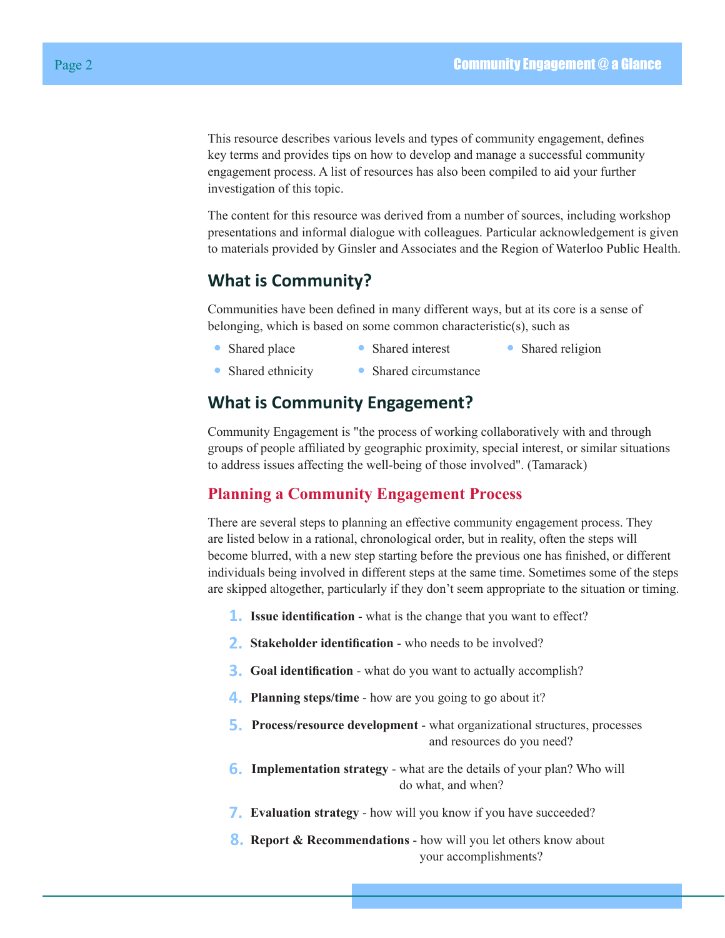This resource describes various levels and types of community engagement, defines key terms and provides tips on how to develop and manage a successful community engagement process. A list of resources has also been compiled to aid your further investigation of this topic.

The content for this resource was derived from a number of sources, including workshop presentations and informal dialogue with colleagues. Particular acknowledgement is given to materials provided by Ginsler and Associates and the Region of Waterloo Public Health.

# <span id="page-1-0"></span>**What is Community?**

Communities have been defined in many different ways, but at its core is a sense of belonging, which is based on some common characteristic(s), such as

- Shared place Shared interest Shared religion
	-
- Shared ethnicity Shared circumstance

# <span id="page-1-1"></span>**What is Community Engagement?**

Community Engagement is "the process of working collaboratively with and through groups of people affiliated by geographic proximity, special interest, or similar situations to address issues affecting the well-being of those involved". (Tamarack)

# **Planning a Community Engagement Process**

There are several steps to planning an effective community engagement process. They are listed below in a rational, chronological order, but in reality, often the steps will become blurred, with a new step starting before the previous one has finished, or different individuals being involved in different steps at the same time. Sometimes some of the steps are skipped altogether, particularly if they don't seem appropriate to the situation or timing.

- **1. Issue identification** what is the change that you want to effect?
- **2. Stakeholder identification** who needs to be involved?
- **3. Goal identification** what do you want to actually accomplish?
- **4. Planning steps/time** how are you going to go about it?
- **5. Process/resource development** what organizational structures, processes and resources do you need?
- **6. Implementation strategy** what are the details of your plan? Who will do what, and when?
- **7. Evaluation strategy** how will you know if you have succeeded?
- **8. Report & Recommendations** how will you let others know about your accomplishments?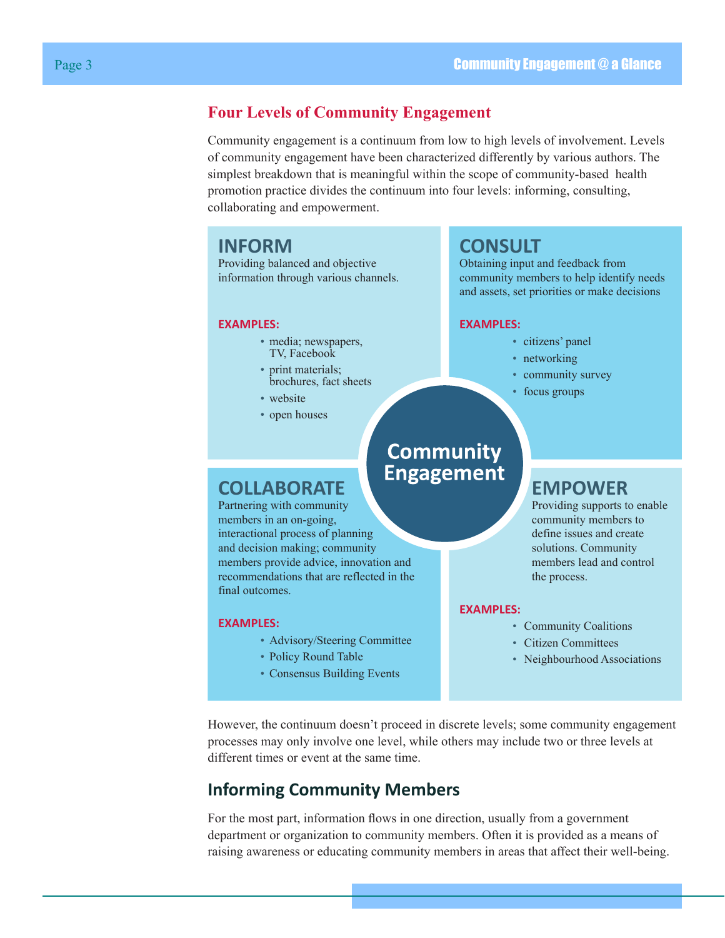# **Four Levels of Community Engagement**

Community engagement is a continuum from low to high levels of involvement. Levels of community engagement have been characterized differently by various authors. The simplest breakdown that is meaningful within the scope of community-based health promotion practice divides the continuum into four levels: informing, consulting, collaborating and empowerment.

# **INFORM**

Providing balanced and objective information through various channels.

#### **EXAMPLES:**

- media; newspapers, TV, Facebook
- print materials; brochures, fact sheets
- website
- open houses

# **CONSULT**

Obtaining input and feedback from community members to help identify needs and assets, set priorities or make decisions

#### **EXAMPLES:**

- citizens' panel
- networking
- community survey
- focus groups

# **COLLABORATE**

Partnering with community members in an on-going, interactional process of planning and decision making; community members provide advice, innovation and recommendations that are reflected in the final outcomes.

#### **EXAMPLES:**

- Advisory/Steering Committee
- Policy Round Table
- Consensus Building Events

# **EMPOWER**

Providing supports to enable community members to define issues and create solutions. Community members lead and control the process.

#### **EXAMPLES:**

- Community Coalitions
- Citizen Committees
- Neighbourhood Associations

However, the continuum doesn't proceed in discrete levels; some community engagement processes may only involve one level, while others may include two or three levels at different times or event at the same time.

**Community Engagement** 

# <span id="page-2-0"></span>**Informing Community Members**

For the most part, information flows in one direction, usually from a government department or organization to community members. Often it is provided as a means of raising awareness or educating community members in areas that affect their well-being.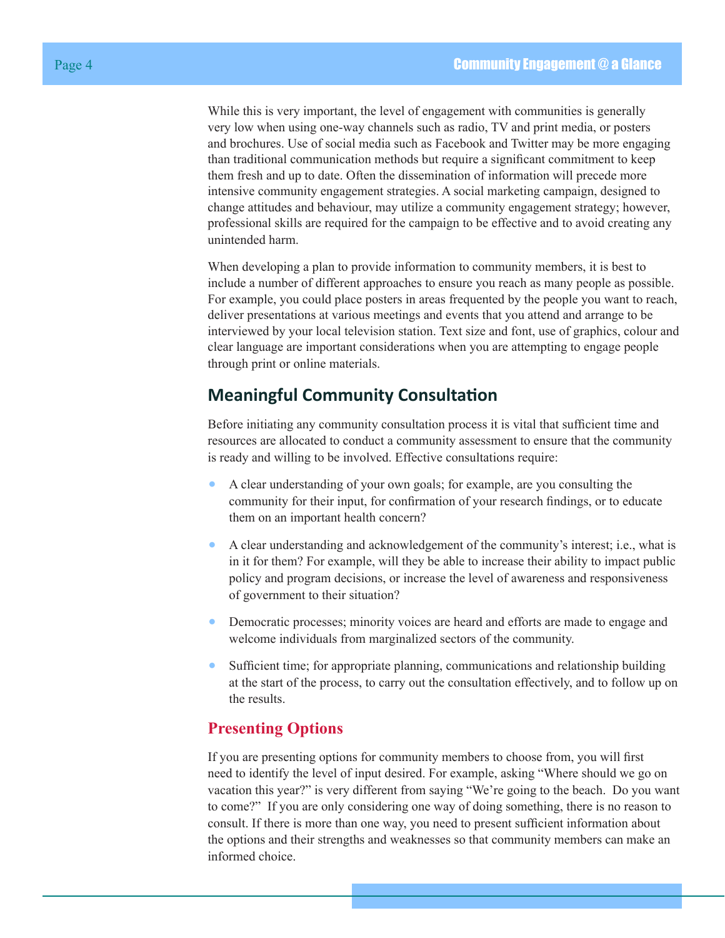While this is very important, the level of engagement with communities is generally very low when using one-way channels such as radio, TV and print media, or posters and brochures. Use of social media such as Facebook and Twitter may be more engaging than traditional communication methods but require a significant commitment to keep them fresh and up to date. Often the dissemination of information will precede more intensive community engagement strategies. A social marketing campaign, designed to change attitudes and behaviour, may utilize a community engagement strategy; however, professional skills are required for the campaign to be effective and to avoid creating any unintended harm.

When developing a plan to provide information to community members, it is best to include a number of different approaches to ensure you reach as many people as possible. For example, you could place posters in areas frequented by the people you want to reach, deliver presentations at various meetings and events that you attend and arrange to be interviewed by your local television station. Text size and font, use of graphics, colour and clear language are important considerations when you are attempting to engage people through print or online materials.

# <span id="page-3-0"></span>**Meaningful Community Consultation**

Before initiating any community consultation process it is vital that sufficient time and resources are allocated to conduct a community assessment to ensure that the community is ready and willing to be involved. Effective consultations require:

- A clear understanding of your own goals; for example, are you consulting the community for their input, for confirmation of your research findings, or to educate them on an important health concern?
- A clear understanding and acknowledgement of the community's interest; i.e., what is in it for them? For example, will they be able to increase their ability to impact public policy and program decisions, or increase the level of awareness and responsiveness of government to their situation?
- Democratic processes; minority voices are heard and efforts are made to engage and welcome individuals from marginalized sectors of the community.
- Sufficient time; for appropriate planning, communications and relationship building at the start of the process, to carry out the consultation effectively, and to follow up on the results.

# **Presenting Options**

If you are presenting options for community members to choose from, you will first need to identify the level of input desired. For example, asking "Where should we go on vacation this year?" is very different from saying "We're going to the beach. Do you want to come?" If you are only considering one way of doing something, there is no reason to consult. If there is more than one way, you need to present sufficient information about the options and their strengths and weaknesses so that community members can make an informed choice.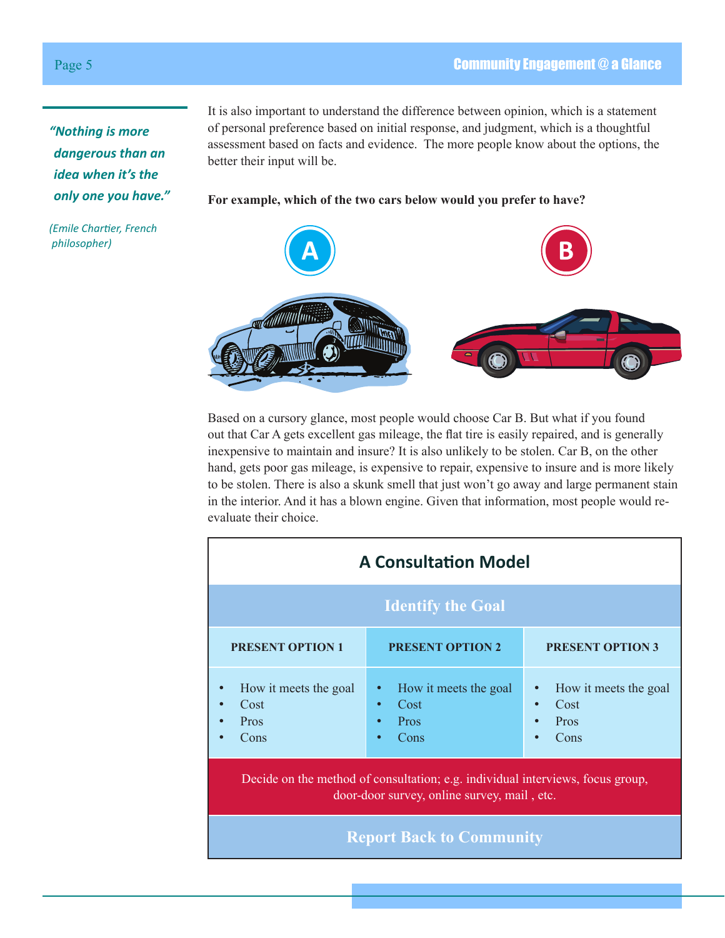*"Nothing is more dangerous than an idea when it's the only one you have."* 

*(Emile Chartier, French philosopher)*

It is also important to understand the difference between opinion, which is a statement of personal preference based on initial response, and judgment, which is a thoughtful assessment based on facts and evidence. The more people know about the options, the better their input will be.

#### **For example, which of the two cars below would you prefer to have?**



Based on a cursory glance, most people would choose Car B. But what if you found out that Car A gets excellent gas mileage, the flat tire is easily repaired, and is generally inexpensive to maintain and insure? It is also unlikely to be stolen. Car B, on the other hand, gets poor gas mileage, is expensive to repair, expensive to insure and is more likely to be stolen. There is also a skunk smell that just won't go away and large permanent stain in the interior. And it has a blown engine. Given that information, most people would reevaluate their choice.

| <b>A Consultation Model</b>                                                                                                   |                                                                                      |                                               |
|-------------------------------------------------------------------------------------------------------------------------------|--------------------------------------------------------------------------------------|-----------------------------------------------|
| <b>Identify the Goal</b>                                                                                                      |                                                                                      |                                               |
| <b>PRESENT OPTION 1</b>                                                                                                       | <b>PRESENT OPTION 2</b>                                                              | <b>PRESENT OPTION 3</b>                       |
| How it meets the goal<br>Cost<br>Pros<br>Cons                                                                                 | How it meets the goal<br>$\bullet$<br>Cost<br>$\bullet$<br>Pros<br>Cons<br>$\bullet$ | How it meets the goal<br>Cost<br>Pros<br>Cons |
| Decide on the method of consultation; e.g. individual interviews, focus group,<br>door-door survey, online survey, mail, etc. |                                                                                      |                                               |
| <b>Report Back to Community</b>                                                                                               |                                                                                      |                                               |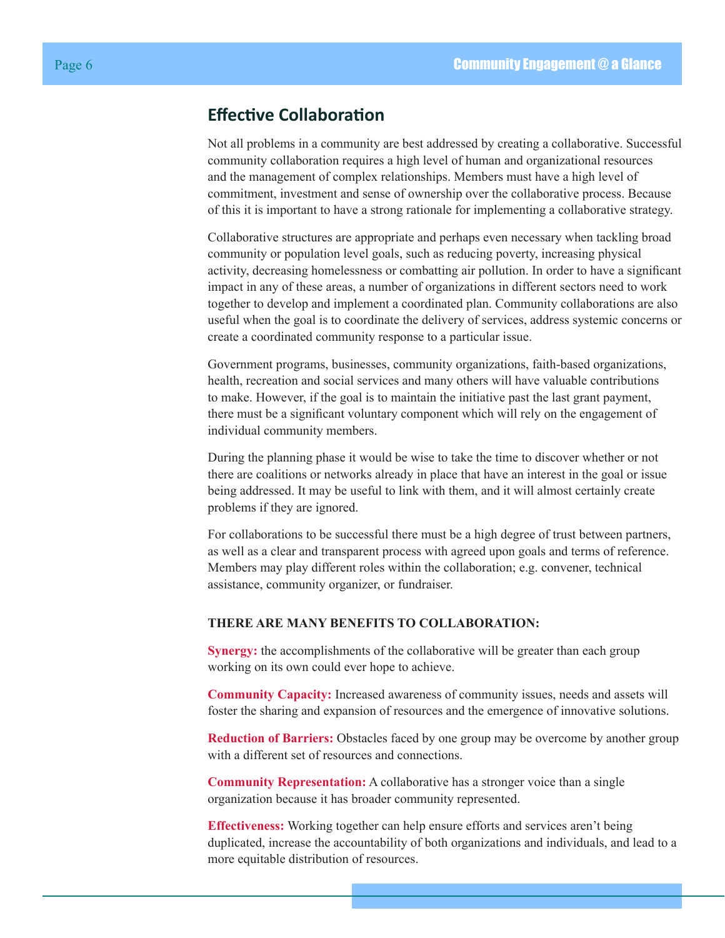# <span id="page-5-0"></span>**Effective Collaboration**

Not all problems in a community are best addressed by creating a collaborative. Successful community collaboration requires a high level of human and organizational resources and the management of complex relationships. Members must have a high level of commitment, investment and sense of ownership over the collaborative process. Because of this it is important to have a strong rationale for implementing a collaborative strategy.

Collaborative structures are appropriate and perhaps even necessary when tackling broad community or population level goals, such as reducing poverty, increasing physical activity, decreasing homelessness or combatting air pollution. In order to have a significant impact in any of these areas, a number of organizations in different sectors need to work together to develop and implement a coordinated plan. Community collaborations are also useful when the goal is to coordinate the delivery of services, address systemic concerns or create a coordinated community response to a particular issue.

Government programs, businesses, community organizations, faith-based organizations, health, recreation and social services and many others will have valuable contributions to make. However, if the goal is to maintain the initiative past the last grant payment, there must be a significant voluntary component which will rely on the engagement of individual community members.

During the planning phase it would be wise to take the time to discover whether or not there are coalitions or networks already in place that have an interest in the goal or issue being addressed. It may be useful to link with them, and it will almost certainly create problems if they are ignored.

For collaborations to be successful there must be a high degree of trust between partners, as well as a clear and transparent process with agreed upon goals and terms of reference. Members may play different roles within the collaboration; e.g. convener, technical assistance, community organizer, or fundraiser.

#### **THERE ARE MANY BENEFITS TO COLLABORATION:**

**Synergy:** the accomplishments of the collaborative will be greater than each group working on its own could ever hope to achieve.

**Community Capacity:** Increased awareness of community issues, needs and assets will foster the sharing and expansion of resources and the emergence of innovative solutions.

**Reduction of Barriers:** Obstacles faced by one group may be overcome by another group with a different set of resources and connections.

**Community Representation:** A collaborative has a stronger voice than a single organization because it has broader community represented.

**Effectiveness:** Working together can help ensure efforts and services aren't being duplicated, increase the accountability of both organizations and individuals, and lead to a more equitable distribution of resources.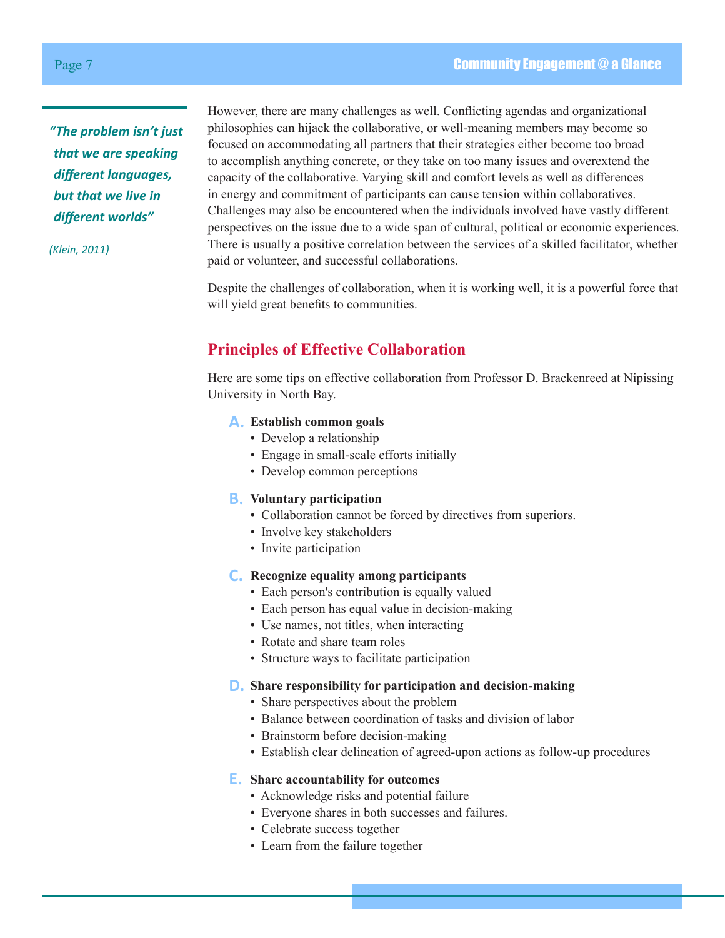*"The problem isn't just that we are speaking different languages, but that we live in different worlds"* 

*(Klein, 2011)*

However, there are many challenges as well. Conflicting agendas and organizational philosophies can hijack the collaborative, or well-meaning members may become so focused on accommodating all partners that their strategies either become too broad to accomplish anything concrete, or they take on too many issues and overextend the capacity of the collaborative. Varying skill and comfort levels as well as differences in energy and commitment of participants can cause tension within collaboratives. Challenges may also be encountered when the individuals involved have vastly different perspectives on the issue due to a wide span of cultural, political or economic experiences. There is usually a positive correlation between the services of a skilled facilitator, whether paid or volunteer, and successful collaborations.

Despite the challenges of collaboration, when it is working well, it is a powerful force that will yield great benefits to communities.

# **Principles of Effective Collaboration**

Here are some tips on effective collaboration from Professor D. Brackenreed at Nipissing University in North Bay.

#### **A. Establish common goals**

- Develop a relationship
- Engage in small-scale efforts initially
- Develop common perceptions

#### **B. Voluntary participation**

- Collaboration cannot be forced by directives from superiors.
- Involve key stakeholders
- Invite participation

#### **C. Recognize equality among participants**

- Each person's contribution is equally valued
- Each person has equal value in decision-making
- Use names, not titles, when interacting
- Rotate and share team roles
- Structure ways to facilitate participation

#### **D. Share responsibility for participation and decision-making**

- Share perspectives about the problem
- Balance between coordination of tasks and division of labor
- Brainstorm before decision-making
- Establish clear delineation of agreed-upon actions as follow-up procedures

#### **E. Share accountability for outcomes**

- Acknowledge risks and potential failure
- Everyone shares in both successes and failures.
- Celebrate success together
- Learn from the failure together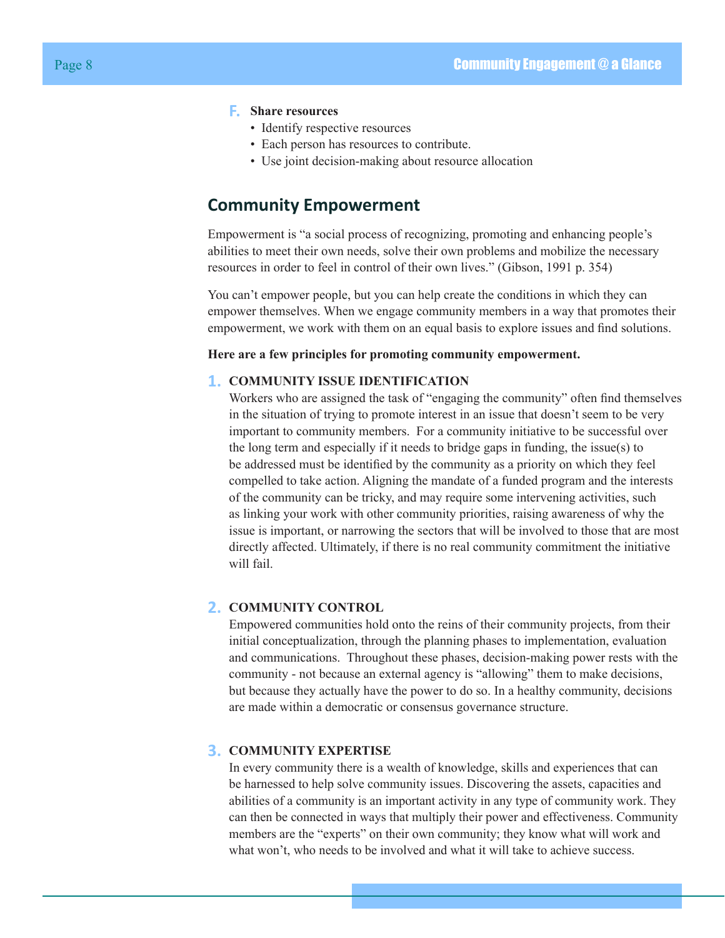#### **F. Share resources**

- Identify respective resources
- Each person has resources to contribute.
- Use joint decision-making about resource allocation

# <span id="page-7-0"></span>**Community Empowerment**

Empowerment is "a social process of recognizing, promoting and enhancing people's abilities to meet their own needs, solve their own problems and mobilize the necessary resources in order to feel in control of their own lives." (Gibson, 1991 p. 354)

You can't empower people, but you can help create the conditions in which they can empower themselves. When we engage community members in a way that promotes their empowerment, we work with them on an equal basis to explore issues and find solutions.

#### **Here are a few principles for promoting community empowerment.**

#### **1. COMMUNITY ISSUE IDENTIFICATION**

Workers who are assigned the task of "engaging the community" often find themselves in the situation of trying to promote interest in an issue that doesn't seem to be very important to community members. For a community initiative to be successful over the long term and especially if it needs to bridge gaps in funding, the issue(s) to be addressed must be identified by the community as a priority on which they feel compelled to take action. Aligning the mandate of a funded program and the interests of the community can be tricky, and may require some intervening activities, such as linking your work with other community priorities, raising awareness of why the issue is important, or narrowing the sectors that will be involved to those that are most directly affected. Ultimately, if there is no real community commitment the initiative will fail.

#### **2. COMMUNITY CONTROL**

Empowered communities hold onto the reins of their community projects, from their initial conceptualization, through the planning phases to implementation, evaluation and communications. Throughout these phases, decision-making power rests with the community - not because an external agency is "allowing" them to make decisions, but because they actually have the power to do so. In a healthy community, decisions are made within a democratic or consensus governance structure.

#### **3. COMMUNITY EXPERTISE**

In every community there is a wealth of knowledge, skills and experiences that can be harnessed to help solve community issues. Discovering the assets, capacities and abilities of a community is an important activity in any type of community work. They can then be connected in ways that multiply their power and effectiveness. Community members are the "experts" on their own community; they know what will work and what won't, who needs to be involved and what it will take to achieve success.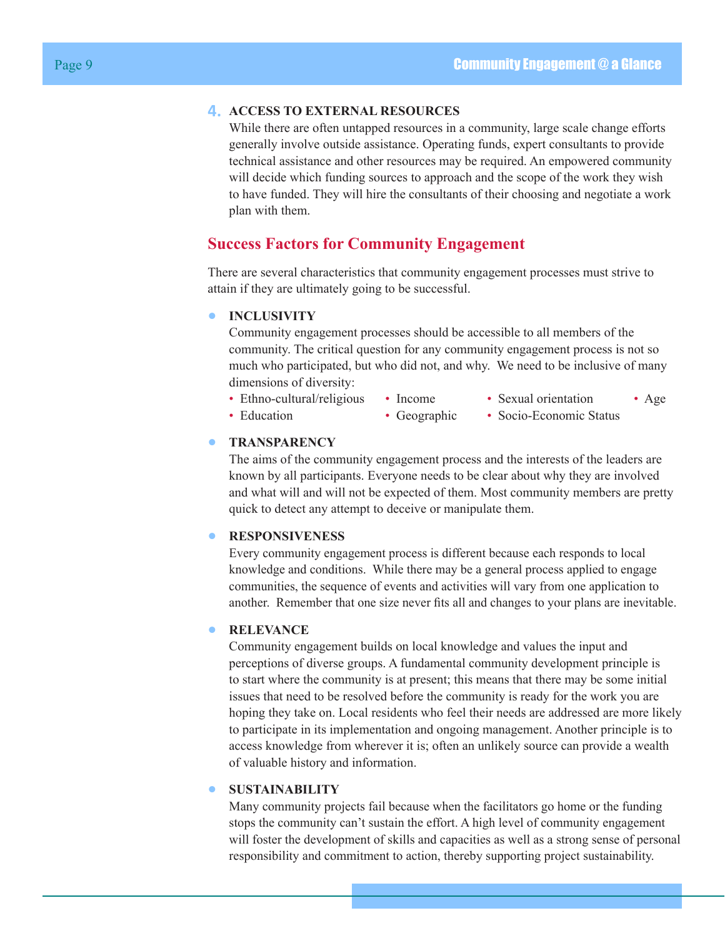#### **4. ACCESS TO EXTERNAL RESOURCES**

While there are often untapped resources in a community, large scale change efforts generally involve outside assistance. Operating funds, expert consultants to provide technical assistance and other resources may be required. An empowered community will decide which funding sources to approach and the scope of the work they wish to have funded. They will hire the consultants of their choosing and negotiate a work plan with them.

#### **Success Factors for Community Engagement**

There are several characteristics that community engagement processes must strive to attain if they are ultimately going to be successful.

#### **• INCLUSIVITY**

Community engagement processes should be accessible to all members of the community. The critical question for any community engagement process is not so much who participated, but who did not, and why. We need to be inclusive of many dimensions of diversity:

- Ethno-cultural/religious Income Sexual orientation Age
	-
- 
- 
- 
- 
- 
- 
- Education Geographic Socio-Economic Status

#### **• TRANSPARENCY**

The aims of the community engagement process and the interests of the leaders are known by all participants. Everyone needs to be clear about why they are involved and what will and will not be expected of them. Most community members are pretty quick to detect any attempt to deceive or manipulate them.

#### **• RESPONSIVENESS**

Every community engagement process is different because each responds to local knowledge and conditions. While there may be a general process applied to engage communities, the sequence of events and activities will vary from one application to another. Remember that one size never fits all and changes to your plans are inevitable.

#### **• RELEVANCE**

Community engagement builds on local knowledge and values the input and perceptions of diverse groups. A fundamental community development principle is to start where the community is at present; this means that there may be some initial issues that need to be resolved before the community is ready for the work you are hoping they take on. Local residents who feel their needs are addressed are more likely to participate in its implementation and ongoing management. Another principle is to access knowledge from wherever it is; often an unlikely source can provide a wealth of valuable history and information.

#### **• SUSTAINABILITY**

Many community projects fail because when the facilitators go home or the funding stops the community can't sustain the effort. A high level of community engagement will foster the development of skills and capacities as well as a strong sense of personal responsibility and commitment to action, thereby supporting project sustainability.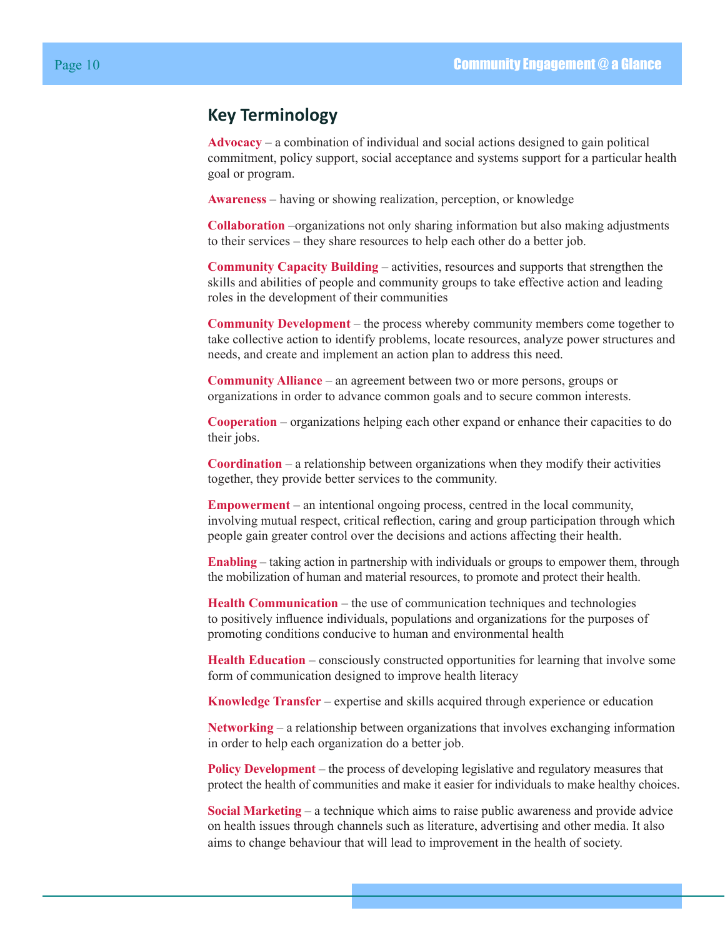# <span id="page-9-0"></span>**Key Terminology**

**Advocacy** – a combination of individual and social actions designed to gain political commitment, policy support, social acceptance and systems support for a particular health goal or program.

**Awareness** – having or showing realization, perception, or knowledge

**Collaboration** –organizations not only sharing information but also making adjustments to their services – they share resources to help each other do a better job.

**Community Capacity Building** – activities, resources and supports that strengthen the skills and abilities of people and community groups to take effective action and leading roles in the development of their communities

**Community Development** – the process whereby community members come together to take collective action to identify problems, locate resources, analyze power structures and needs, and create and implement an action plan to address this need.

**Community Alliance** – an agreement between two or more persons, groups or organizations in order to advance common goals and to secure common interests.

**Cooperation** – organizations helping each other expand or enhance their capacities to do their jobs.

**Coordination** – a relationship between organizations when they modify their activities together, they provide better services to the community.

**Empowerment** – an intentional ongoing process, centred in the local community, involving mutual respect, critical reflection, caring and group participation through which people gain greater control over the decisions and actions affecting their health.

**Enabling** – taking action in partnership with individuals or groups to empower them, through the mobilization of human and material resources, to promote and protect their health.

**Health Communication** – the use of communication techniques and technologies to positively influence individuals, populations and organizations for the purposes of promoting conditions conducive to human and environmental health

**Health Education** – consciously constructed opportunities for learning that involve some form of communication designed to improve health literacy

**Knowledge Transfer** – expertise and skills acquired through experience or education

**Networking** – a relationship between organizations that involves exchanging information in order to help each organization do a better job.

**Policy Development** – the process of developing legislative and regulatory measures that protect the health of communities and make it easier for individuals to make healthy choices.

**Social Marketing** – a technique which aims to raise public awareness and provide advice on health issues through channels such as literature, advertising and other media. It also aims to change behaviour that will lead to improvement in the health of society.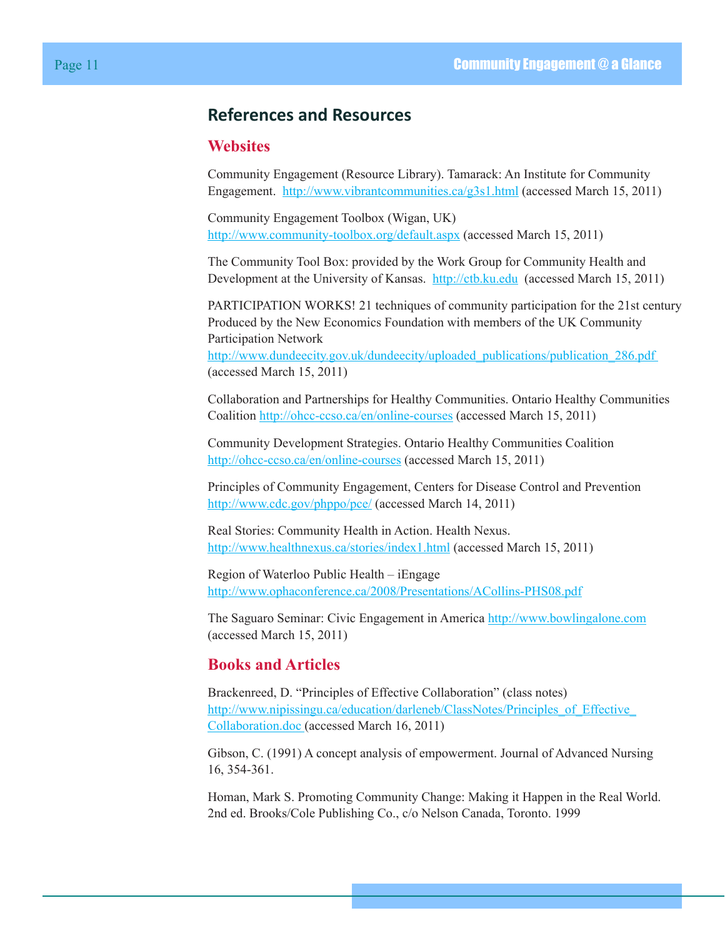# <span id="page-10-0"></span>**References and Resources**

## **Websites**

Community Engagement (Resource Library). Tamarack: An Institute for Community Engagement. <http://www.vibrantcommunities.ca/g3s1.html> (accessed March 15, 2011)

Community Engagement Toolbox (Wigan, UK) <http://www.community-toolbox.org/default.aspx>(accessed March 15, 2011)

The Community Tool Box: provided by the Work Group for Community Health and Development at the University of Kansas. <http://ctb.ku.edu>(accessed March 15, 2011)

PARTICIPATION WORKS! 21 techniques of community participation for the 21st century Produced by the New Economics Foundation with members of the UK Community Participation Network [http://www.dundeecity.gov.uk/dundeecity/uploaded\\_publications/publication\\_286.pdf](http://www.dundeecity.gov.uk/dundeecity/uploaded_publications/publication_286.pdf)  (accessed March 15, 2011)

Collaboration and Partnerships for Healthy Communities. Ontario Healthy Communities Coalition<http://ohcc-ccso.ca/en/online-courses>(accessed March 15, 2011)

Community Development Strategies. Ontario Healthy Communities Coalition <http://ohcc-ccso.ca/en/online-courses>(accessed March 15, 2011)

Principles of Community Engagement, Centers for Disease Control and Prevention [http://www.cdc.gov/phppo/pce/ \(](http://www.cdc.gov/phppo/pce/ )accessed March 14, 2011)

Real Stories: Community Health in Action. Health Nexus. [http://www.healthnexus.ca/stories/index1.html](http://www.healthnexus.ca/stories/index1.html ) (accessed March 15, 2011)

Region of Waterloo Public Health – iEngage <http://www.ophaconference.ca/2008/Presentations/ACollins-PHS08.pdf>

The Saguaro Seminar: Civic Engagement in America [http://www.bowlingalone.com](http://www.bowlingalone.com ) (accessed March 15, 2011)

## **Books and Articles**

Brackenreed, D. "Principles of Effective Collaboration" (class notes) http://www.nipissingu.ca/education/darleneb/ClassNotes/Principles\_of\_Effective [Collaboration.doc](http://www.nipissingu.ca/education/darleneb/ClassNotes/Principles_of_Effective_Collaboration.doc ) (accessed March 16, 2011)

Gibson, C. (1991) A concept analysis of empowerment. Journal of Advanced Nursing 16, 354-361.

Homan, Mark S. Promoting Community Change: Making it Happen in the Real World. 2nd ed. Brooks/Cole Publishing Co., c/o Nelson Canada, Toronto. 1999